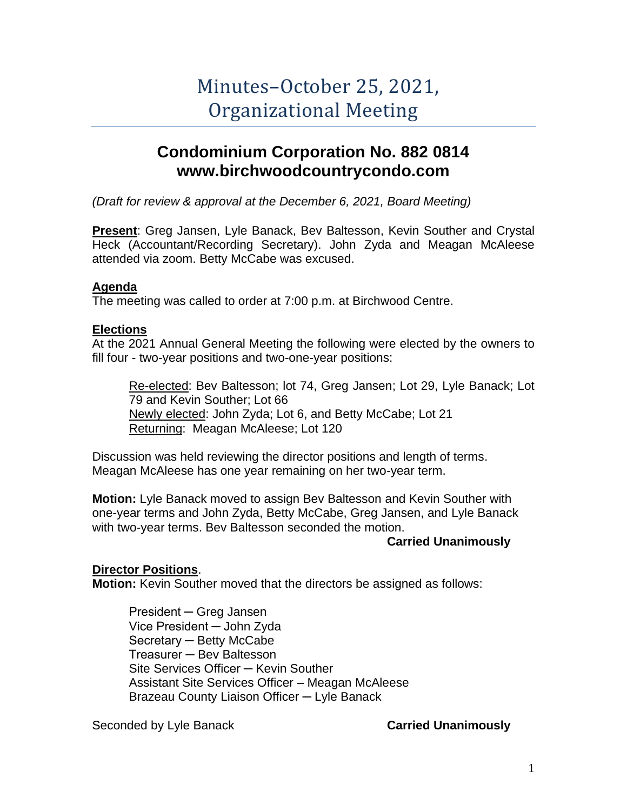# Minutes–October 25, 2021, Organizational Meeting

## **Condominium Corporation No. 882 0814 www.birchwoodcountrycondo.com**

*(Draft for review & approval at the December 6, 2021, Board Meeting)*

**Present**: Greg Jansen, Lyle Banack, Bev Baltesson, Kevin Souther and Crystal Heck (Accountant/Recording Secretary). John Zyda and Meagan McAleese attended via zoom. Betty McCabe was excused.

### **Agenda**

The meeting was called to order at 7:00 p.m. at Birchwood Centre.

### **Elections**

At the 2021 Annual General Meeting the following were elected by the owners to fill four - two-year positions and two-one-year positions:

Re-elected: Bev Baltesson; lot 74, Greg Jansen; Lot 29, Lyle Banack; Lot 79 and Kevin Souther; Lot 66 Newly elected: John Zyda; Lot 6, and Betty McCabe; Lot 21 Returning: Meagan McAleese; Lot 120

Discussion was held reviewing the director positions and length of terms. Meagan McAleese has one year remaining on her two-year term.

**Motion:** Lyle Banack moved to assign Bev Baltesson and Kevin Souther with one-year terms and John Zyda, Betty McCabe, Greg Jansen, and Lyle Banack with two-year terms. Bev Baltesson seconded the motion.

### **Carried Unanimously**

### **Director Positions**.

**Motion:** Kevin Souther moved that the directors be assigned as follows:

President ─ Greg Jansen Vice President ─ John Zyda Secretary ─ Betty McCabe Treasurer ─ Bev Baltesson Site Services Officer ─ Kevin Souther Assistant Site Services Officer – Meagan McAleese Brazeau County Liaison Officer ─ Lyle Banack

Seconded by Lyle Banack **Carried Unanimously**